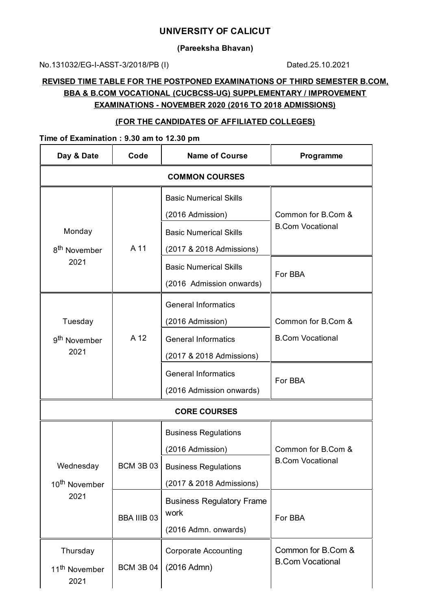## **UNIVERSITY OF CALICUT**

**(Pareeksha Bhavan)**

No.131032/EG-I-ASST-3/2018/PB (I) Dated.25.10.2021

# **REVISED TIME TABLE FOR THE POSTPONED EXAMINATIONS OF THIRD SEMESTER B.COM, BBA & B.COM VOCATIONAL (CUCBCSS-UG) SUPPLEMENTARY / IMPROVEMENT EXAMINATIONS - NOVEMBER 2020 (2016 TO 2018 ADMISSIONS)**

## **(FOR THE CANDIDATES OF AFFILIATED COLLEGES)**

## **Time of Examination : 9.30 am to 12.30 pm**

| Day & Date                                  | Code               | <b>Name of Course</b>            | Programme                                     |  |  |
|---------------------------------------------|--------------------|----------------------------------|-----------------------------------------------|--|--|
| <b>COMMON COURSES</b>                       |                    |                                  |                                               |  |  |
|                                             |                    | <b>Basic Numerical Skills</b>    |                                               |  |  |
|                                             |                    | (2016 Admission)                 | Common for B.Com &                            |  |  |
| Monday                                      |                    | <b>Basic Numerical Skills</b>    | <b>B.Com Vocational</b>                       |  |  |
| 8 <sup>th</sup> November                    | A 11               | (2017 & 2018 Admissions)         |                                               |  |  |
| 2021                                        |                    | <b>Basic Numerical Skills</b>    | For BBA                                       |  |  |
|                                             |                    | (2016 Admission onwards)         |                                               |  |  |
|                                             |                    | <b>General Informatics</b>       |                                               |  |  |
| Tuesday<br>9 <sup>th</sup> November<br>2021 | A 12               | (2016 Admission)                 | Common for B.Com &<br><b>B.Com Vocational</b> |  |  |
|                                             |                    | <b>General Informatics</b>       |                                               |  |  |
|                                             |                    | (2017 & 2018 Admissions)         |                                               |  |  |
|                                             |                    | <b>General Informatics</b>       | For BBA                                       |  |  |
|                                             |                    | (2016 Admission onwards)         |                                               |  |  |
| <b>CORE COURSES</b>                         |                    |                                  |                                               |  |  |
|                                             |                    | <b>Business Regulations</b>      |                                               |  |  |
|                                             |                    | (2016 Admission)                 | Common for B.Com &                            |  |  |
| Wednesday                                   | <b>BCM 3B 03</b>   | <b>Business Regulations</b>      | <b>B.Com Vocational</b>                       |  |  |
| 10 <sup>th</sup> November                   |                    | (2017 & 2018 Admissions)         |                                               |  |  |
| 2021                                        | <b>BBA IIIB 03</b> | <b>Business Regulatory Frame</b> | For BBA                                       |  |  |
|                                             |                    | work                             |                                               |  |  |
|                                             |                    | (2016 Admn. onwards)             |                                               |  |  |
| Thursday                                    | <b>BCM 3B 04</b>   | <b>Corporate Accounting</b>      | Common for B.Com &<br><b>B.Com Vocational</b> |  |  |
| 11 <sup>th</sup> November<br>2021           |                    | (2016 Admn)                      |                                               |  |  |